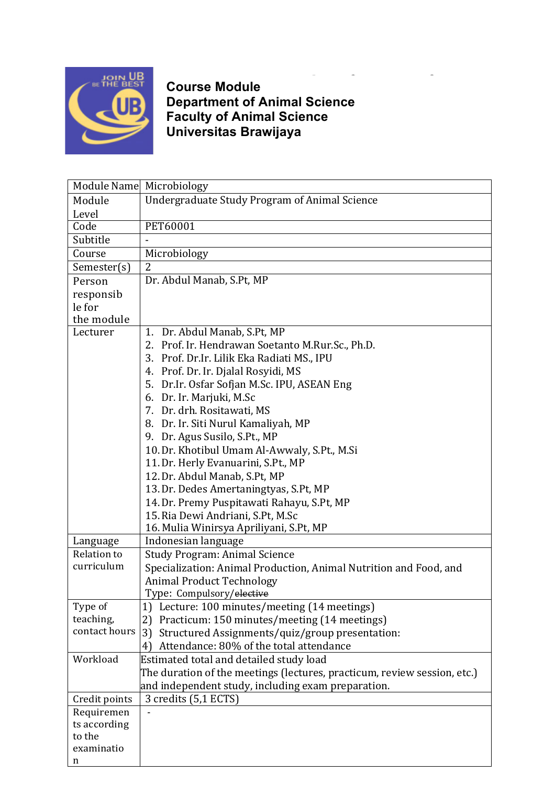

**Course Module Department of Animal Science Faculty of Animal Science Universitas Brawijaya**

|               | Module Name Microbiology                                                 |  |  |
|---------------|--------------------------------------------------------------------------|--|--|
| Module        | Undergraduate Study Program of Animal Science                            |  |  |
| Level         |                                                                          |  |  |
| Code          | PET60001                                                                 |  |  |
| Subtitle      |                                                                          |  |  |
| Course        | Microbiology                                                             |  |  |
| Semester(s)   | 2                                                                        |  |  |
| Person        | Dr. Abdul Manab, S.Pt, MP                                                |  |  |
| responsib     |                                                                          |  |  |
| le for        |                                                                          |  |  |
| the module    |                                                                          |  |  |
| Lecturer      | 1. Dr. Abdul Manab, S.Pt, MP                                             |  |  |
|               | 2. Prof. Ir. Hendrawan Soetanto M.Rur.Sc., Ph.D.                         |  |  |
|               | 3. Prof. Dr.Ir. Lilik Eka Radiati MS., IPU                               |  |  |
|               | 4. Prof. Dr. Ir. Djalal Rosyidi, MS                                      |  |  |
|               | 5. Dr.Ir. Osfar Sofjan M.Sc. IPU, ASEAN Eng                              |  |  |
|               | 6. Dr. Ir. Marjuki, M.Sc                                                 |  |  |
|               | 7. Dr. drh. Rositawati, MS                                               |  |  |
|               | 8. Dr. Ir. Siti Nurul Kamaliyah, MP                                      |  |  |
|               | 9. Dr. Agus Susilo, S.Pt., MP                                            |  |  |
|               | 10. Dr. Khotibul Umam Al-Awwaly, S.Pt., M.Si                             |  |  |
|               | 11. Dr. Herly Evanuarini, S.Pt., MP                                      |  |  |
|               | 12. Dr. Abdul Manab, S.Pt, MP                                            |  |  |
|               | 13. Dr. Dedes Amertaningtyas, S.Pt, MP                                   |  |  |
|               | 14. Dr. Premy Puspitawati Rahayu, S.Pt, MP                               |  |  |
|               | 15. Ria Dewi Andriani, S.Pt, M.Sc                                        |  |  |
|               | 16. Mulia Winirsya Apriliyani, S.Pt, MP                                  |  |  |
| Language      | Indonesian language                                                      |  |  |
| Relation to   | <b>Study Program: Animal Science</b>                                     |  |  |
| curriculum    | Specialization: Animal Production, Animal Nutrition and Food, and        |  |  |
|               | <b>Animal Product Technology</b>                                         |  |  |
|               | Type: Compulsory/ <del>elective</del>                                    |  |  |
| Type of       | 1) Lecture: 100 minutes/meeting (14 meetings)                            |  |  |
| teaching,     | Practicum: 150 minutes/meeting (14 meetings)<br>2)                       |  |  |
| contact hours | 3)<br>Structured Assignments/quiz/group presentation:                    |  |  |
|               | Attendance: 80% of the total attendance<br>4)                            |  |  |
| Workload      | Estimated total and detailed study load                                  |  |  |
|               | The duration of the meetings (lectures, practicum, review session, etc.) |  |  |
|               | and independent study, including exam preparation.                       |  |  |
| Credit points | 3 credits (5,1 ECTS)                                                     |  |  |
| Requiremen    |                                                                          |  |  |
| ts according  |                                                                          |  |  |
| to the        |                                                                          |  |  |
| examinatio    |                                                                          |  |  |
| n             |                                                                          |  |  |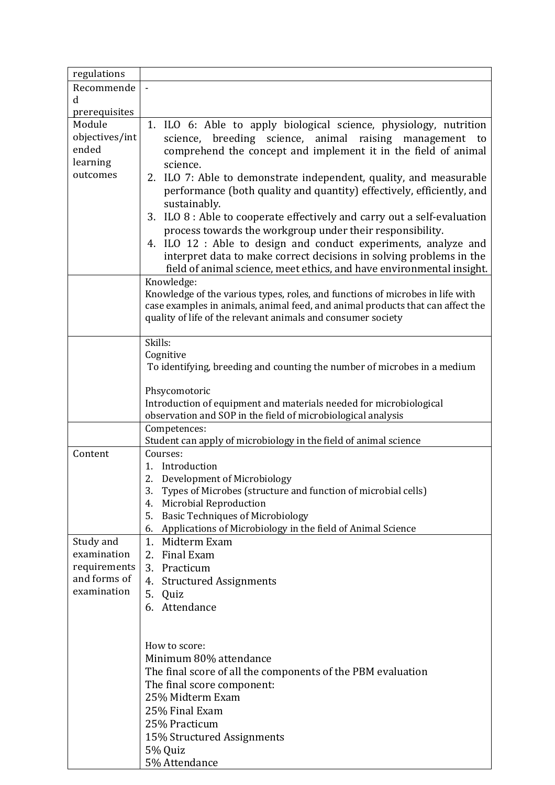| regulations    |                                                                                                                                                                                                                                 |
|----------------|---------------------------------------------------------------------------------------------------------------------------------------------------------------------------------------------------------------------------------|
| Recommende     |                                                                                                                                                                                                                                 |
| d              |                                                                                                                                                                                                                                 |
| prerequisites  |                                                                                                                                                                                                                                 |
| Module         | 1. ILO 6: Able to apply biological science, physiology, nutrition                                                                                                                                                               |
| objectives/int | science, breeding science, animal raising management to                                                                                                                                                                         |
| ended          | comprehend the concept and implement it in the field of animal                                                                                                                                                                  |
| learning       | science.                                                                                                                                                                                                                        |
| outcomes       | 2. ILO 7: Able to demonstrate independent, quality, and measurable                                                                                                                                                              |
|                | performance (both quality and quantity) effectively, efficiently, and<br>sustainably.                                                                                                                                           |
|                | 3. ILO 8 : Able to cooperate effectively and carry out a self-evaluation                                                                                                                                                        |
|                | process towards the workgroup under their responsibility.                                                                                                                                                                       |
|                | 4. ILO 12 : Able to design and conduct experiments, analyze and                                                                                                                                                                 |
|                | interpret data to make correct decisions in solving problems in the                                                                                                                                                             |
|                | field of animal science, meet ethics, and have environmental insight.                                                                                                                                                           |
|                | Knowledge:                                                                                                                                                                                                                      |
|                | Knowledge of the various types, roles, and functions of microbes in life with<br>case examples in animals, animal feed, and animal products that can affect the<br>quality of life of the relevant animals and consumer society |
|                | Skills:                                                                                                                                                                                                                         |
|                | Cognitive                                                                                                                                                                                                                       |
|                | To identifying, breeding and counting the number of microbes in a medium                                                                                                                                                        |
|                |                                                                                                                                                                                                                                 |
|                | Phsycomotoric                                                                                                                                                                                                                   |
|                | Introduction of equipment and materials needed for microbiological                                                                                                                                                              |
|                | observation and SOP in the field of microbiological analysis                                                                                                                                                                    |
|                | Competences:                                                                                                                                                                                                                    |
|                | Student can apply of microbiology in the field of animal science                                                                                                                                                                |
| Content        | Courses:                                                                                                                                                                                                                        |
|                | Introduction<br>1.                                                                                                                                                                                                              |
|                | 2.<br>Development of Microbiology<br>3.                                                                                                                                                                                         |
|                | Types of Microbes (structure and function of microbial cells)<br>Microbial Reproduction<br>4.                                                                                                                                   |
|                | 5.<br><b>Basic Techniques of Microbiology</b>                                                                                                                                                                                   |
|                | Applications of Microbiology in the field of Animal Science<br>6.                                                                                                                                                               |
| Study and      | 1.<br>Midterm Exam                                                                                                                                                                                                              |
| examination    | 2. Final Exam                                                                                                                                                                                                                   |
| requirements   | 3. Practicum                                                                                                                                                                                                                    |
| and forms of   | 4.<br><b>Structured Assignments</b>                                                                                                                                                                                             |
| examination    | 5. Quiz                                                                                                                                                                                                                         |
|                | 6. Attendance                                                                                                                                                                                                                   |
|                |                                                                                                                                                                                                                                 |
|                |                                                                                                                                                                                                                                 |
|                | How to score:                                                                                                                                                                                                                   |
|                | Minimum 80% attendance                                                                                                                                                                                                          |
|                | The final score of all the components of the PBM evaluation                                                                                                                                                                     |
|                | The final score component:                                                                                                                                                                                                      |
|                | 25% Midterm Exam                                                                                                                                                                                                                |
|                | 25% Final Exam                                                                                                                                                                                                                  |
|                | 25% Practicum                                                                                                                                                                                                                   |
|                | 15% Structured Assignments                                                                                                                                                                                                      |
|                | 5% Quiz                                                                                                                                                                                                                         |
|                | 5% Attendance                                                                                                                                                                                                                   |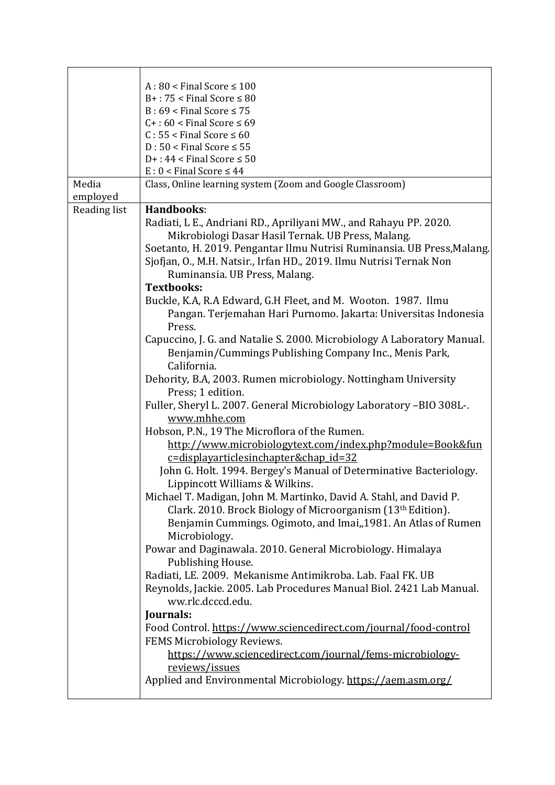|                   | $A:80 <$ Final Score $\leq 100$<br>$B+$ : 75 < Final Score $\leq 80$<br>$B: 69 <$ Final Score $\leq 75$<br>$C+ : 60 <$ Final Score $\leq 69$<br>$C: 55 <$ Final Score $\leq 60$<br>$D: 50 <$ Final Score $\leq 55$<br>$D+$ : 44 < Final Score $\leq 50$<br>$E: 0 <$ Final Score $\leq 44$                                                                                                                                                                                                                                                        |
|-------------------|--------------------------------------------------------------------------------------------------------------------------------------------------------------------------------------------------------------------------------------------------------------------------------------------------------------------------------------------------------------------------------------------------------------------------------------------------------------------------------------------------------------------------------------------------|
| Media<br>employed | Class, Online learning system (Zoom and Google Classroom)                                                                                                                                                                                                                                                                                                                                                                                                                                                                                        |
| Reading list      | Handbooks:                                                                                                                                                                                                                                                                                                                                                                                                                                                                                                                                       |
|                   | Radiati, L E., Andriani RD., Apriliyani MW., and Rahayu PP. 2020.<br>Mikrobiologi Dasar Hasil Ternak. UB Press, Malang.<br>Soetanto, H. 2019. Pengantar Ilmu Nutrisi Ruminansia. UB Press, Malang.<br>Sjofjan, O., M.H. Natsir., Irfan HD., 2019. Ilmu Nutrisi Ternak Non<br>Ruminansia. UB Press, Malang.<br><b>Textbooks:</b><br>Buckle, K.A, R.A Edward, G.H Fleet, and M. Wooton. 1987. Ilmu<br>Pangan. Terjemahan Hari Purnomo. Jakarta: Universitas Indonesia                                                                              |
|                   | Press.<br>Capuccino, J. G. and Natalie S. 2000. Microbiology A Laboratory Manual.<br>Benjamin/Cummings Publishing Company Inc., Menis Park,<br>California.                                                                                                                                                                                                                                                                                                                                                                                       |
|                   | Dehority, B.A, 2003. Rumen microbiology. Nottingham University<br>Press; 1 edition.<br>Fuller, Sheryl L. 2007. General Microbiology Laboratory -BIO 308L-.<br>www.mhhe.com                                                                                                                                                                                                                                                                                                                                                                       |
|                   | Hobson, P.N., 19 The Microflora of the Rumen.<br>http://www.microbiologytext.com/index.php?module=Book&fun<br>c=displayarticlesinchapter&chap id=32<br>John G. Holt. 1994. Bergey's Manual of Determinative Bacteriology.<br>Lippincott Williams & Wilkins.<br>Michael T. Madigan, John M. Martinko, David A. Stahl, and David P.<br>Clark. 2010. Brock Biology of Microorganism (13th Edition).<br>Benjamin Cummings. Ogimoto, and Imai, 1981. An Atlas of Rumen<br>Microbiology.<br>Powar and Daginawala. 2010. General Microbiology. Himalaya |
|                   | Publishing House.<br>Radiati, LE. 2009. Mekanisme Antimikroba. Lab. Faal FK. UB<br>Reynolds, Jackie. 2005. Lab Procedures Manual Biol. 2421 Lab Manual.<br>ww.rlc.dcccd.edu.<br>Journals:<br>Food Control. https://www.sciencedirect.com/journal/food-control<br>FEMS Microbiology Reviews.<br>https://www.sciencedirect.com/journal/fems-microbiology-<br>reviews/issues<br>Applied and Environmental Microbiology. https://aem.asm.org/                                                                                                        |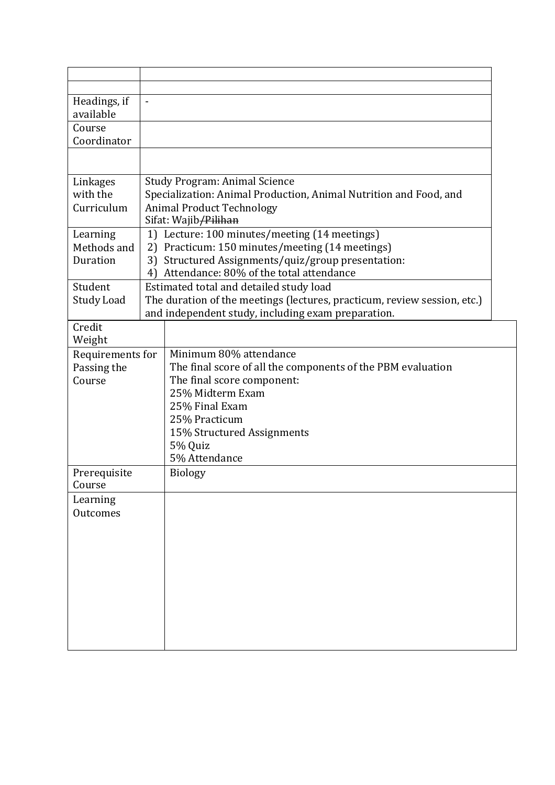| Headings, if           | $\overline{a}$                                                                                            |                                                                          |
|------------------------|-----------------------------------------------------------------------------------------------------------|--------------------------------------------------------------------------|
| available              |                                                                                                           |                                                                          |
| Course                 |                                                                                                           |                                                                          |
| Coordinator            |                                                                                                           |                                                                          |
|                        |                                                                                                           |                                                                          |
|                        |                                                                                                           |                                                                          |
| Linkages<br>with the   | <b>Study Program: Animal Science</b><br>Specialization: Animal Production, Animal Nutrition and Food, and |                                                                          |
| Curriculum             |                                                                                                           | <b>Animal Product Technology</b>                                         |
|                        |                                                                                                           | Sifat: Wajib/Pilihan                                                     |
| Learning               | 1)                                                                                                        | Lecture: 100 minutes/meeting (14 meetings)                               |
| Methods and            | 2)                                                                                                        | Practicum: 150 minutes/meeting (14 meetings)                             |
| Duration               | 3)                                                                                                        | Structured Assignments/quiz/group presentation:                          |
|                        | 4)                                                                                                        | Attendance: 80% of the total attendance                                  |
| Student                |                                                                                                           | Estimated total and detailed study load                                  |
| <b>Study Load</b>      |                                                                                                           | The duration of the meetings (lectures, practicum, review session, etc.) |
|                        |                                                                                                           | and independent study, including exam preparation.                       |
| Credit                 |                                                                                                           |                                                                          |
| Weight                 |                                                                                                           |                                                                          |
| Requirements for       |                                                                                                           | Minimum 80% attendance                                                   |
| Passing the            |                                                                                                           | The final score of all the components of the PBM evaluation              |
| Course                 |                                                                                                           | The final score component:                                               |
|                        |                                                                                                           | 25% Midterm Exam                                                         |
|                        |                                                                                                           | 25% Final Exam                                                           |
|                        |                                                                                                           | 25% Practicum                                                            |
|                        |                                                                                                           | 15% Structured Assignments                                               |
|                        |                                                                                                           | 5% Quiz                                                                  |
|                        |                                                                                                           | 5% Attendance                                                            |
| Prerequisite<br>Course |                                                                                                           | <b>Biology</b>                                                           |
| Learning               |                                                                                                           |                                                                          |
| <b>Outcomes</b>        |                                                                                                           |                                                                          |
|                        |                                                                                                           |                                                                          |
|                        |                                                                                                           |                                                                          |
|                        |                                                                                                           |                                                                          |
|                        |                                                                                                           |                                                                          |
|                        |                                                                                                           |                                                                          |
|                        |                                                                                                           |                                                                          |
|                        |                                                                                                           |                                                                          |
|                        |                                                                                                           |                                                                          |
|                        |                                                                                                           |                                                                          |
|                        |                                                                                                           |                                                                          |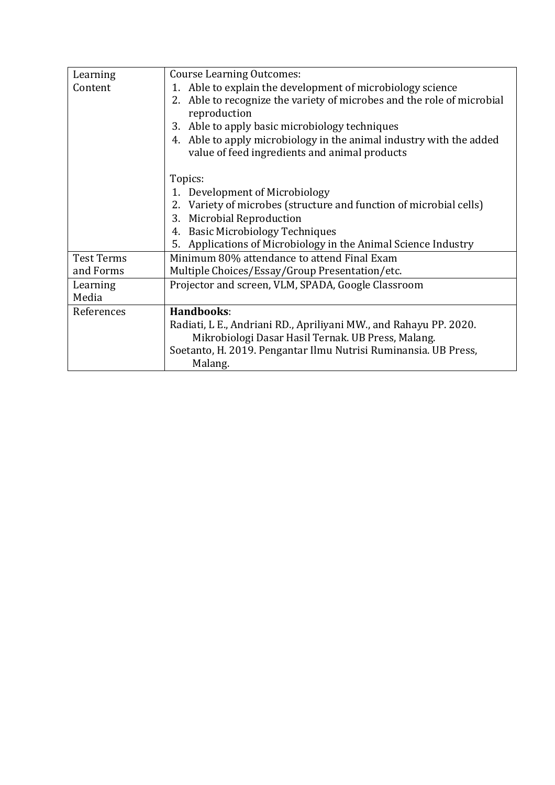| Learning          | <b>Course Learning Outcomes:</b>                                       |
|-------------------|------------------------------------------------------------------------|
| Content           | 1. Able to explain the development of microbiology science             |
|                   | 2. Able to recognize the variety of microbes and the role of microbial |
|                   | reproduction                                                           |
|                   | Able to apply basic microbiology techniques<br>3.                      |
|                   | 4. Able to apply microbiology in the animal industry with the added    |
|                   | value of feed ingredients and animal products                          |
|                   | Topics:                                                                |
|                   | Development of Microbiology                                            |
|                   | Variety of microbes (structure and function of microbial cells)<br>2.  |
|                   | <b>Microbial Reproduction</b><br>3.                                    |
|                   | <b>Basic Microbiology Techniques</b><br>4.                             |
|                   | 5. Applications of Microbiology in the Animal Science Industry         |
| <b>Test Terms</b> | Minimum 80% attendance to attend Final Exam                            |
| and Forms         | Multiple Choices/Essay/Group Presentation/etc.                         |
| Learning          | Projector and screen, VLM, SPADA, Google Classroom                     |
| Media             |                                                                        |
| References        | Handbooks:                                                             |
|                   | Radiati, L E., Andriani RD., Apriliyani MW., and Rahayu PP. 2020.      |
|                   | Mikrobiologi Dasar Hasil Ternak. UB Press, Malang.                     |
|                   | Soetanto, H. 2019. Pengantar Ilmu Nutrisi Ruminansia. UB Press,        |
|                   | Malang.                                                                |